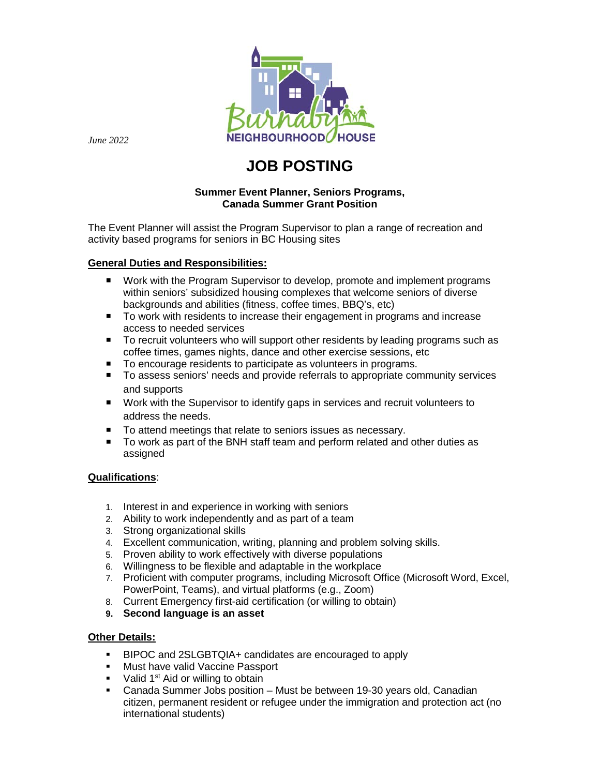

*June 2022*

# **JOB POSTING**

## **Summer Event Planner, Seniors Programs, Canada Summer Grant Position**

The Event Planner will assist the Program Supervisor to plan a range of recreation and activity based programs for seniors in BC Housing sites

## **General Duties and Responsibilities:**

- Work with the Program Supervisor to develop, promote and implement programs within seniors' subsidized housing complexes that welcome seniors of diverse backgrounds and abilities (fitness, coffee times, BBQ's, etc)
- To work with residents to increase their engagement in programs and increase access to needed services
- To recruit volunteers who will support other residents by leading programs such as coffee times, games nights, dance and other exercise sessions, etc
- To encourage residents to participate as volunteers in programs.
- To assess seniors' needs and provide referrals to appropriate community services and supports
- Work with the Supervisor to identify gaps in services and recruit volunteers to address the needs.
- To attend meetings that relate to seniors issues as necessary.
- To work as part of the BNH staff team and perform related and other duties as assigned

#### **Qualifications**:

- 1. Interest in and experience in working with seniors
- 2. Ability to work independently and as part of a team
- 3. Strong organizational skills
- 4. Excellent communication, writing, planning and problem solving skills.
- 5. Proven ability to work effectively with diverse populations
- 6. Willingness to be flexible and adaptable in the workplace
- 7. Proficient with computer programs, including Microsoft Office (Microsoft Word, Excel, PowerPoint, Teams), and virtual platforms (e.g., Zoom)
- 8. Current Emergency first-aid certification (or willing to obtain)
- **9. Second language is an asset**

#### **Other Details:**

- BIPOC and 2SLGBTQIA+ candidates are encouraged to apply
- **Must have valid Vaccine Passport**
- $\blacksquare$  Valid 1<sup>st</sup> Aid or willing to obtain
- Canada Summer Jobs position Must be between 19-30 years old, Canadian citizen, permanent resident or refugee under the immigration and protection act (no international students)